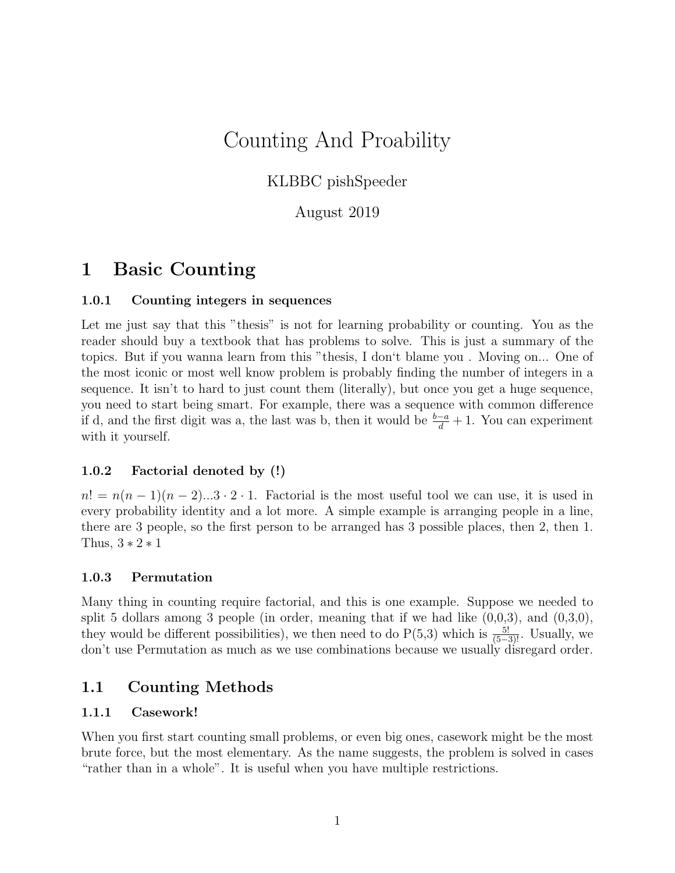# Counting And Proability

# KLBBC pishSpeeder

## August 2019

# 1 Basic Counting

#### 1.0.1 Counting integers in sequences

Let me just say that this "thesis" is not for learning probability or counting. You as the reader should buy a textbook that has problems to solve. This is just a summary of the topics. But if you wanna learn from this "thesis, I don't blame you . Moving on... One of the most iconic or most well know problem is probably finding the number of integers in a sequence. It isn't to hard to just count them (literally), but once you get a huge sequence, you need to start being smart. For example, there was a sequence with common difference if d, and the first digit was a, the last was b, then it would be  $\frac{b-a}{d} + 1$ . You can experiment with it yourself.

#### 1.0.2 Factorial denoted by (!)

 $n! = n(n-1)(n-2)...3 \cdot 2 \cdot 1$ . Factorial is the most useful tool we can use, it is used in every probability identity and a lot more. A simple example is arranging people in a line, there are 3 people, so the first person to be arranged has 3 possible places, then 2, then 1. Thus,  $3 * 2 * 1$ 

#### 1.0.3 Permutation

Many thing in counting require factorial, and this is one example. Suppose we needed to split 5 dollars among 3 people (in order, meaning that if we had like  $(0,0,3)$ , and  $(0,3,0)$ , they would be different possibilities), we then need to do  $P(5,3)$  which is  $\frac{5!}{(5-3)!}$ . Usually, we don't use Permutation as much as we use combinations because we usually disregard order.

# 1.1 Counting Methods

#### 1.1.1 Casework!

When you first start counting small problems, or even big ones, casework might be the most brute force, but the most elementary. As the name suggests, the problem is solved in cases "rather than in a whole". It is useful when you have multiple restrictions.